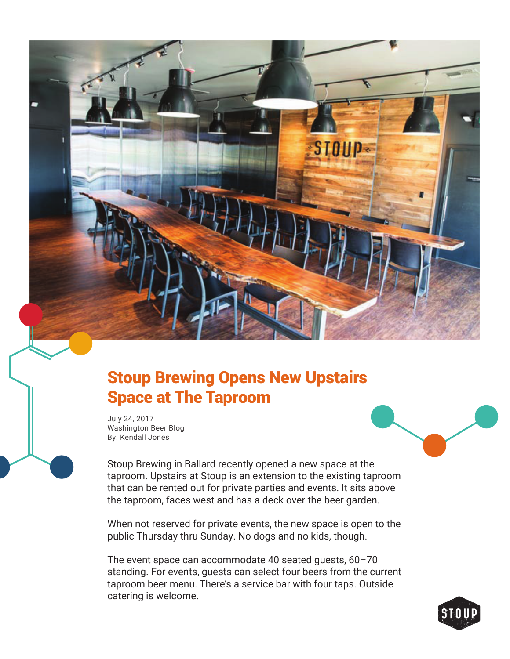

July 24, 2017 Washington Beer Blog By: Kendall Jones



**STOUP** 

Stoup Brewing in Ballard recently opened a new space at the taproom. Upstairs at Stoup is an extension to the existing taproom that can be rented out for private parties and events. It sits above the taproom, faces west and has a deck over the beer garden.

When not reserved for private events, the new space is open to the public Thursday thru Sunday. No dogs and no kids, though.

The event space can accommodate 40 seated guests, 60–70 standing. For events, guests can select four beers from the current taproom beer menu. There's a service bar with four taps. Outside catering is welcome.